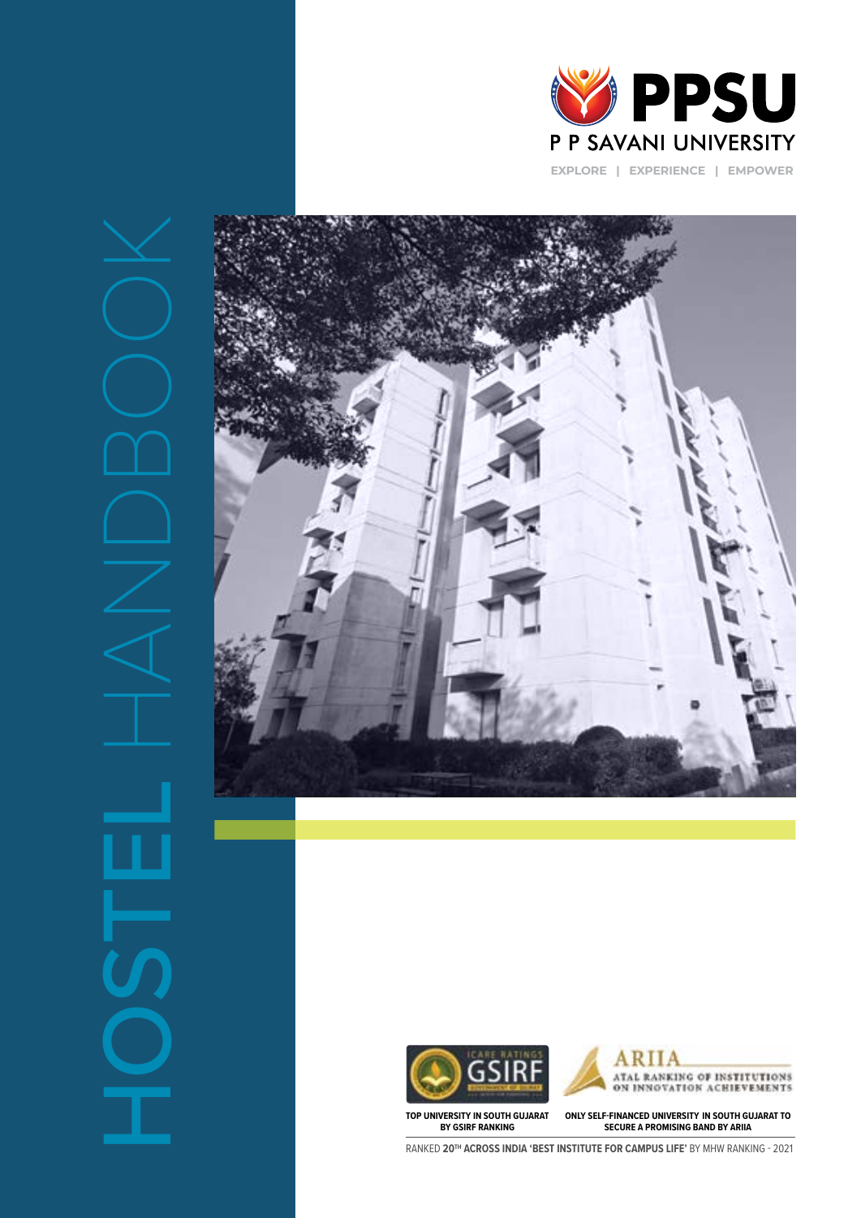









**TOP UNIVERSITY IN SOUTH GUJARAT BY GSIRF RANKING**

**ONLY SELF-FINANCED UNIVERSITY IN SOUTH GUJARAT TO SECURE A PROMISING BAND BY ARIIA**

RANKED **20TH ACROSS INDIA 'BEST INSTITUTE FOR CAMPUS LIFE'** BY MHW RANKING - 2021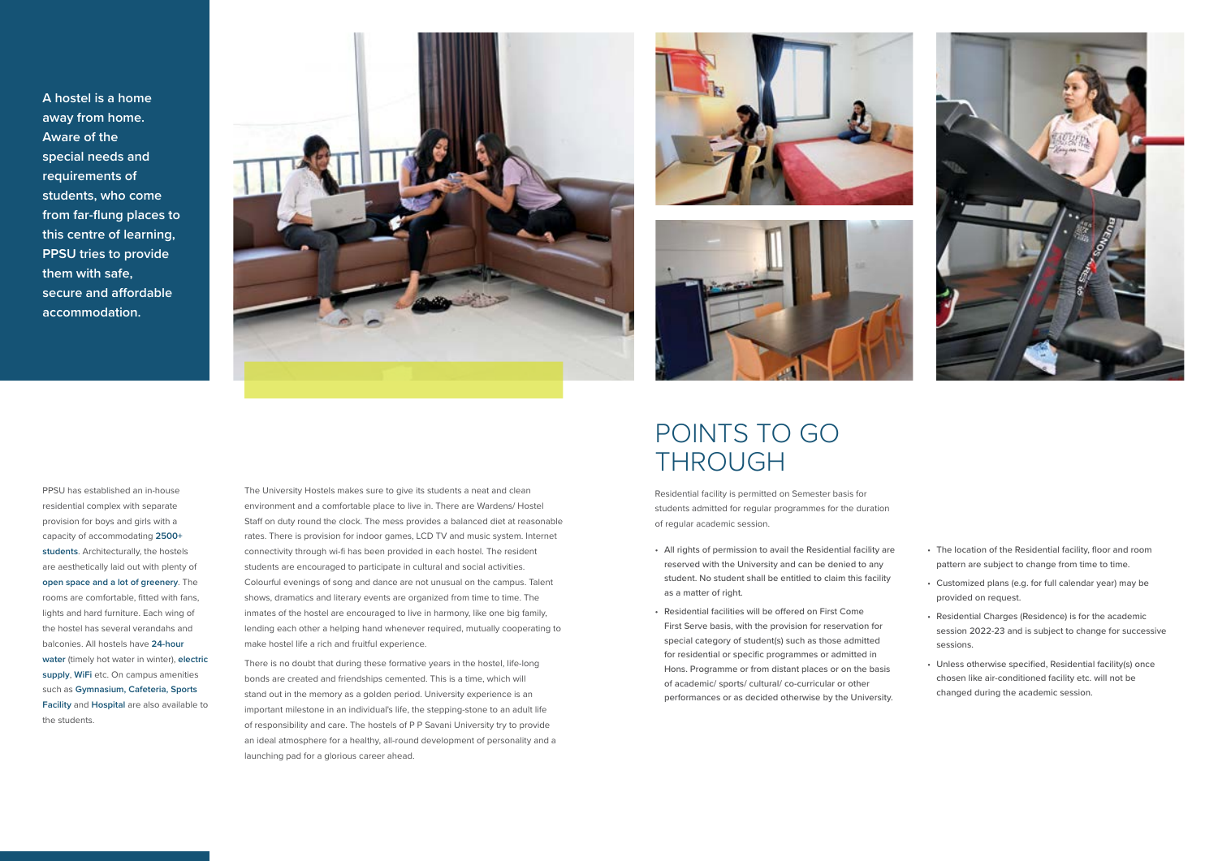**A hostel is a home away from home. Aware of the special needs and requirements of students, who come from far-flung places to this centre of learning, PPSU tries to provide them with safe, secure and affordable accommodation.**







The University Hostels makes sure to give its students a neat and clean environment and a comfortable place to live in. There are Wardens/ Hostel Staff on duty round the clock. The mess provides a balanced diet at reasonable rates. There is provision for indoor games, LCD TV and music system. Internet connectivity through wi-fi has been provided in each hostel. The resident students are encouraged to participate in cultural and social activities. Colourful evenings of song and dance are not unusual on the campus. Talent shows, dramatics and literary events are organized from time to time. The inmates of the hostel are encouraged to live in harmony, like one big family, lending each other a helping hand whenever required, mutually cooperating to make hostel life a rich and fruitful experience.

There is no doubt that during these formative years in the hostel, life-long bonds are created and friendships cemented. This is a time, which will stand out in the memory as a golden period. University experience is an important milestone in an individual's life, the stepping-stone to an adult life of responsibility and care. The hostels of P P Savani University try to provide an ideal atmosphere for a healthy, all-round development of personality and a launching pad for a glorious career ahead.



- All rights of permission to avail the Residential facility are reserved with the University and can be denied to any student. No student shall be entitled to claim this facility as a matter of right.
- Residential facilities will be offered on First Come First Serve basis, with the provision for reservation for special category of student(s) such as those admitted for residential or specific programmes or admitted in Hons. Programme or from distant places or on the basis of academic/ sports/ cultural/ co-curricular or other performances or as decided otherwise by the University.
- The location of the Residential facility, floor and room pattern are subject to change from time to time.
- Customized plans (e.g. for full calendar year) may be provided on request.
- Residential Charges (Residence) is for the academic session 2022-23 and is subject to change for successive sessions.
- Unless otherwise specified, Residential facility(s) once chosen like air-conditioned facility etc. will not be changed during the academic session.

## POINTS TO GO THROUGH

PPSU has established an in-house residential complex with separate provision for boys and girls with a capacity of accommodating **2500+ students**. Architecturally, the hostels are aesthetically laid out with plenty of **open space and a lot of greenery**. The rooms are comfortable, fitted with fans, lights and hard furniture. Each wing of the hostel has several verandahs and balconies. All hostels have **24-hour water** (timely hot water in winter), **electric supply**, **WiFi** etc. On campus amenities such as **Gymnasium, Cafeteria, Sports Facility** and **Hospital** are also available to the students.

Residential facility is permitted on Semester basis for students admitted for regular programmes for the duration of regular academic session.